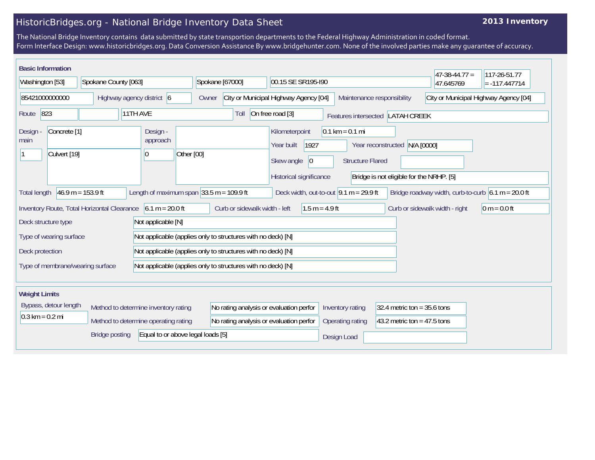## HistoricBridges.org - National Bridge Inventory Data Sheet

## **2013 Inventory**

The National Bridge Inventory contains data submitted by state transportion departments to the Federal Highway Administration in coded format. Form Interface Design: www.historicbridges.org. Data Conversion Assistance By www.bridgehunter.com. None of the involved parties make any guarantee of accuracy.

| <b>Basic Information</b>                                          |                         |                                             |          |                           |                                                                                                            |                                                                                              |                    |                  | $ 47-38-44.77 $                          | 117-26-51.77                                                        |                                                      |                 |  |  |  |  |
|-------------------------------------------------------------------|-------------------------|---------------------------------------------|----------|---------------------------|------------------------------------------------------------------------------------------------------------|----------------------------------------------------------------------------------------------|--------------------|------------------|------------------------------------------|---------------------------------------------------------------------|------------------------------------------------------|-----------------|--|--|--|--|
| Washington [53]                                                   |                         | Spokane County [063]                        |          |                           |                                                                                                            | Spokane [67000]                                                                              | 00.15 SE SR195-I90 |                  |                                          |                                                                     | 47.645769                                            | $= -117.447714$ |  |  |  |  |
|                                                                   | 85421000000000          |                                             |          | Highway agency district 6 | Owner                                                                                                      | City or Municipal Highway Agency [04]                                                        |                    |                  |                                          | City or Municipal Highway Agency [04]<br>Maintenance responsibility |                                                      |                 |  |  |  |  |
| Route                                                             | 823                     |                                             | 11TH AVE |                           |                                                                                                            | Toll                                                                                         | On free road [3]   |                  |                                          | Features intersected LATAH CREEK                                    |                                                      |                 |  |  |  |  |
| Design -<br>Concrete <sup>[1]</sup><br>Design<br>approach<br>main |                         |                                             |          |                           | $0.1 \text{ km} = 0.1 \text{ mi}$<br>Kilometerpoint<br>1927<br>Year reconstructed N/A [0000]<br>Year built |                                                                                              |                    |                  |                                          |                                                                     |                                                      |                 |  |  |  |  |
|                                                                   | Culvert [19]            |                                             |          | 10                        | Other [00]                                                                                                 | Skew angle<br> 0 <br><b>Structure Flared</b>                                                 |                    |                  |                                          |                                                                     |                                                      |                 |  |  |  |  |
|                                                                   |                         |                                             |          |                           |                                                                                                            | Historical significance<br>Bridge is not eligible for the NRHP. [5]                          |                    |                  |                                          |                                                                     |                                                      |                 |  |  |  |  |
| <b>Total length</b>                                               |                         | $46.9 m = 153.9 ft$                         |          |                           | Length of maximum span $ 33.5 \text{ m} = 109.9 \text{ ft} $                                               |                                                                                              |                    |                  | Deck width, out-to-out $9.1 m = 29.9 ft$ |                                                                     | Bridge roadway width, curb-to-curb $6.1 m = 20.0 ft$ |                 |  |  |  |  |
|                                                                   |                         | Inventory Route, Total Horizontal Clearance |          | $6.1 m = 20.0 ft$         |                                                                                                            | Curb or sidewalk width - left                                                                |                    | $1.5 m = 4.9 ft$ |                                          |                                                                     | Curb or sidewalk width - right                       | $ 0 m = 0.0 ft$ |  |  |  |  |
|                                                                   | Deck structure type     |                                             |          | Not applicable [N]        |                                                                                                            |                                                                                              |                    |                  |                                          |                                                                     |                                                      |                 |  |  |  |  |
|                                                                   | Type of wearing surface |                                             |          |                           |                                                                                                            | Not applicable (applies only to structures with no deck) [N]                                 |                    |                  |                                          |                                                                     |                                                      |                 |  |  |  |  |
| Deck protection                                                   |                         |                                             |          |                           |                                                                                                            | Not applicable (applies only to structures with no deck) [N]                                 |                    |                  |                                          |                                                                     |                                                      |                 |  |  |  |  |
|                                                                   |                         | Type of membrane/wearing surface            |          |                           |                                                                                                            | Not applicable (applies only to structures with no deck) [N]                                 |                    |                  |                                          |                                                                     |                                                      |                 |  |  |  |  |
|                                                                   |                         |                                             |          |                           |                                                                                                            |                                                                                              |                    |                  |                                          |                                                                     |                                                      |                 |  |  |  |  |
| <b>Weight Limits</b>                                              |                         |                                             |          |                           |                                                                                                            |                                                                                              |                    |                  |                                          |                                                                     |                                                      |                 |  |  |  |  |
| Bypass, detour length<br>Method to determine inventory rating     |                         |                                             |          |                           |                                                                                                            | No rating analysis or evaluation perfor<br>Inventory rating<br>32.4 metric ton = $35.6$ tons |                    |                  |                                          |                                                                     |                                                      |                 |  |  |  |  |
| $0.3 \text{ km} = 0.2 \text{ mi}$                                 |                         | Method to determine operating rating        |          |                           |                                                                                                            | No rating analysis or evaluation perfor                                                      |                    |                  | Operating rating                         | 43.2 metric ton = $47.5$ tons                                       |                                                      |                 |  |  |  |  |
|                                                                   |                         | <b>Bridge posting</b>                       |          |                           | Equal to or above legal loads [5]                                                                          |                                                                                              |                    |                  | Design Load                              |                                                                     |                                                      |                 |  |  |  |  |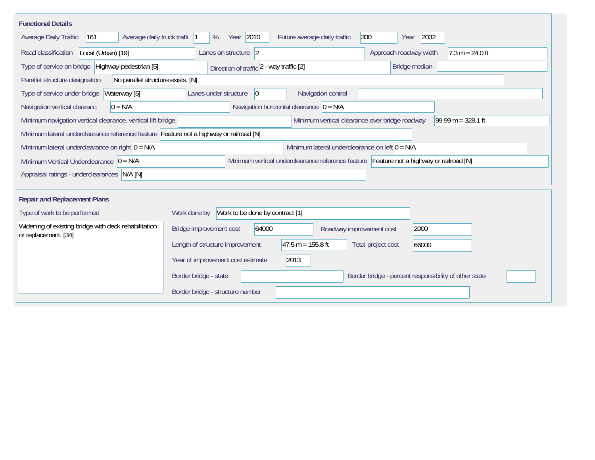| <b>Functional Details</b>                                                              |                                                                                         |  |
|----------------------------------------------------------------------------------------|-----------------------------------------------------------------------------------------|--|
| Average daily truck traffi<br>Average Daily Traffic<br>161                             | Year 2010<br>300<br>2032<br>Future average daily traffic<br>%<br>Year                   |  |
| Road classification<br>Local (Urban) [19]                                              | Approach roadway width<br>Lanes on structure $ 2$<br>$7.3 m = 24.0 ft$                  |  |
| Type of service on bridge Highway-pedestrian [5]                                       | Bridge median<br>Direction of traffic 2 - way traffic [2]                               |  |
| Parallel structure designation<br>No parallel structure exists. [N]                    |                                                                                         |  |
| Waterway [5]<br>Type of service under bridge                                           | Navigation control<br>Lanes under structure<br>$ 0\rangle$                              |  |
| $0 = N/A$<br>Navigation vertical clearanc                                              | Navigation horizontal clearance $ 0 = N/A$                                              |  |
| Minimum navigation vertical clearance, vertical lift bridge                            | Minimum vertical clearance over bridge roadway<br>99.99 m = $328.1$ ft                  |  |
| Minimum lateral underclearance reference feature Feature not a highway or railroad [N] |                                                                                         |  |
| Minimum lateral underclearance on right $ 0 = N/A$                                     | Minimum lateral underclearance on left $0 = N/A$                                        |  |
| Minimum Vertical Underclearance $ 0 = N/A$                                             | Minimum vertical underclearance reference feature Feature not a highway or railroad [N] |  |
| Appraisal ratings - underclearances N/A [N]                                            |                                                                                         |  |
|                                                                                        |                                                                                         |  |
| <b>Repair and Replacement Plans</b>                                                    |                                                                                         |  |
| Type of work to be performed                                                           | Work to be done by contract [1]<br>Work done by                                         |  |
| Widening of existing bridge with deck rehabilitation<br>or replacement. [34]           | Bridge improvement cost<br>64000<br>2000<br>Roadway improvement cost                    |  |
|                                                                                        | $47.5 m = 155.8 ft$<br>Length of structure improvement<br>Total project cost<br>66000   |  |
|                                                                                        | 2013<br>Year of improvement cost estimate                                               |  |
|                                                                                        | Border bridge - state<br>Border bridge - percent responsibility of other state          |  |
|                                                                                        | Border bridge - structure number                                                        |  |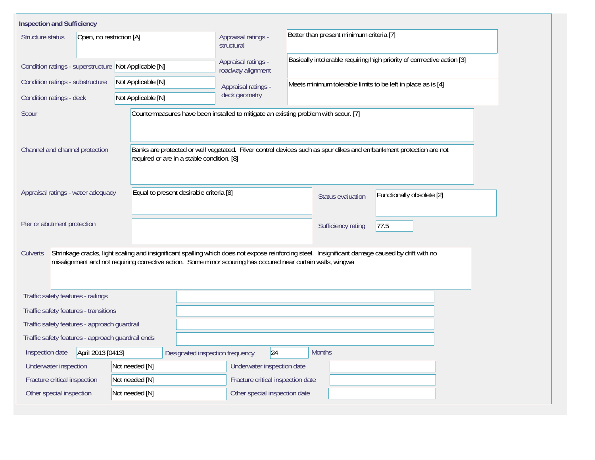| <b>Inspection and Sufficiency</b>                                                                                                                                                                                                                                            |                                            |                                                                                     |                                                                                                                   |  |  |  |  |  |  |  |  |
|------------------------------------------------------------------------------------------------------------------------------------------------------------------------------------------------------------------------------------------------------------------------------|--------------------------------------------|-------------------------------------------------------------------------------------|-------------------------------------------------------------------------------------------------------------------|--|--|--|--|--|--|--|--|
| Structure status<br>Open, no restriction [A]                                                                                                                                                                                                                                 |                                            | Appraisal ratings -<br>structural                                                   | Better than present minimum criteria [7]                                                                          |  |  |  |  |  |  |  |  |
| Condition ratings - superstructure Not Applicable [N]                                                                                                                                                                                                                        |                                            | Appraisal ratings -<br>roadway alignment                                            | Basically intolerable requiring high priority of corrrective action [3]                                           |  |  |  |  |  |  |  |  |
| Condition ratings - substructure                                                                                                                                                                                                                                             | Not Applicable [N]                         | Appraisal ratings -                                                                 | Meets minimum tolerable limits to be left in place as is [4]                                                      |  |  |  |  |  |  |  |  |
| Condition ratings - deck                                                                                                                                                                                                                                                     | Not Applicable [N]                         | deck geometry                                                                       |                                                                                                                   |  |  |  |  |  |  |  |  |
| Scour                                                                                                                                                                                                                                                                        |                                            | Countermeasures have been installed to mitigate an existing problem with scour. [7] |                                                                                                                   |  |  |  |  |  |  |  |  |
| Channel and channel protection                                                                                                                                                                                                                                               | required or are in a stable condition. [8] |                                                                                     | Banks are protected or well vegetated. River control devices such as spur dikes and embankment protection are not |  |  |  |  |  |  |  |  |
| Appraisal ratings - water adequacy                                                                                                                                                                                                                                           | Equal to present desirable criteria [8]    |                                                                                     | Functionally obsolete [2]<br><b>Status evaluation</b>                                                             |  |  |  |  |  |  |  |  |
| Pier or abutment protection                                                                                                                                                                                                                                                  |                                            |                                                                                     | 77.5<br>Sufficiency rating                                                                                        |  |  |  |  |  |  |  |  |
| Shrinkage cracks, light scaling and insignificant spalling which does not expose reinforcing steel. Insignificant damage caused by drift with no<br>Culverts<br>misalignment and not requiring corrective action. Some minor scouring has occured near curtain walls, wingwa |                                            |                                                                                     |                                                                                                                   |  |  |  |  |  |  |  |  |
| Traffic safety features - railings                                                                                                                                                                                                                                           |                                            |                                                                                     |                                                                                                                   |  |  |  |  |  |  |  |  |
| Traffic safety features - transitions                                                                                                                                                                                                                                        |                                            |                                                                                     |                                                                                                                   |  |  |  |  |  |  |  |  |
| Traffic safety features - approach guardrail                                                                                                                                                                                                                                 |                                            |                                                                                     |                                                                                                                   |  |  |  |  |  |  |  |  |
| Traffic safety features - approach guardrail ends                                                                                                                                                                                                                            |                                            |                                                                                     |                                                                                                                   |  |  |  |  |  |  |  |  |
| April 2013 [0413]<br>Inspection date                                                                                                                                                                                                                                         |                                            | 24 <br>Designated inspection frequency                                              | <b>Months</b>                                                                                                     |  |  |  |  |  |  |  |  |
| Underwater inspection                                                                                                                                                                                                                                                        | Not needed [N]                             | Underwater inspection date                                                          |                                                                                                                   |  |  |  |  |  |  |  |  |
| Fracture critical inspection                                                                                                                                                                                                                                                 | Not needed [N]                             | Fracture critical inspection date                                                   |                                                                                                                   |  |  |  |  |  |  |  |  |
| Other special inspection                                                                                                                                                                                                                                                     | Not needed [N]                             | Other special inspection date                                                       |                                                                                                                   |  |  |  |  |  |  |  |  |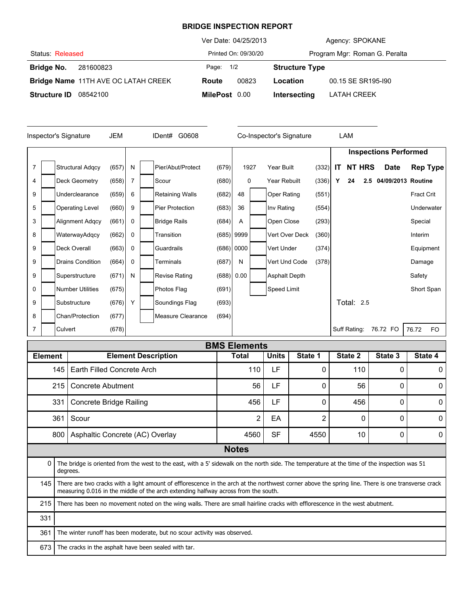## **BRIDGE INSPECTION REPORT**

|                     |                                     | Ver Date: 04/25/2013 |                      |                               | Agency: SPOKANE    |  |  |
|---------------------|-------------------------------------|----------------------|----------------------|-------------------------------|--------------------|--|--|
| Status: Released    |                                     |                      | Printed On: 09/30/20 | Program Mgr: Roman G. Peralta |                    |  |  |
| Bridge No.          | 281600823                           |                      |                      | <b>Structure Type</b>         |                    |  |  |
|                     | Bridge Name 11TH AVE OC LATAH CREEK | Route                | 00823                | Location                      | 00.15 SE SR195-190 |  |  |
| <b>Structure ID</b> | 08542100                            | MilePost 0.00        |                      | Intersecting                  | LATAH CREEK        |  |  |

|                |  | Inspector's Signature   | JEM   |   | IDent# G0608           |       |              | Co-Inspector's Signature |       |     | LAM          |                   |                              |            |                 |
|----------------|--|-------------------------|-------|---|------------------------|-------|--------------|--------------------------|-------|-----|--------------|-------------------|------------------------------|------------|-----------------|
|                |  |                         |       |   |                        |       |              |                          |       |     |              |                   | <b>Inspections Performed</b> |            |                 |
| $\overline{7}$ |  | <b>Structural Adgcy</b> | (657) | N | Pier/Abut/Protect      | (679) | 1927         | Year Built               | (332) | IT. |              | NT HRS            | <b>Date</b>                  |            | <b>Rep Type</b> |
| 4              |  | Deck Geometry           | (658) | 7 | Scour                  | (680) | 0            | Year Rebuilt             | (336) | Υ   | 24           | 2.5               | 04/09/2013 Routine           |            |                 |
| 9              |  | Underclearance          | (659) | 6 | <b>Retaining Walls</b> | (682) | 48           | Oper Rating              | (551) |     |              |                   |                              | Fract Crit |                 |
| 5              |  | <b>Operating Level</b>  | (660) | 9 | <b>Pier Protection</b> | (683) | 36           | Inv Rating               | (554) |     |              |                   |                              |            | Underwater      |
| 3              |  | <b>Alignment Adgcy</b>  | (661) | 0 | <b>Bridge Rails</b>    | (684) | Α            | Open Close               | (293) |     |              |                   |                              | Special    |                 |
| 8              |  | WaterwayAdqcy           | (662) | 0 | Transition             |       | $(685)$ 9999 | Vert Over Deck           | (360) |     |              |                   |                              | Interim    |                 |
| 9              |  | Deck Overall            | (663) | 0 | Guardrails             |       | (686) 0000   | Vert Under               | (374) |     |              |                   |                              | Equipment  |                 |
| 9              |  | <b>Drains Condition</b> | (664) | 0 | Terminals              | (687) | N            | Vert Und Code            | (378) |     |              |                   |                              | Damage     |                 |
| 9              |  | Superstructure          | (671) | N | <b>Revise Rating</b>   |       | (688) 0.00   | Asphalt Depth            |       |     |              |                   |                              | Safety     |                 |
| 0              |  | <b>Number Utilities</b> | (675) |   | Photos Flag            | (691) |              | Speed Limit              |       |     |              |                   |                              | Short Span |                 |
| 9              |  | Substructure            | (676) | Y | Soundings Flag         | (693) |              |                          |       |     |              | <b>Total: 2.5</b> |                              |            |                 |
| 8              |  | Chan/Protection         | (677) |   | Measure Clearance      | (694) |              |                          |       |     |              |                   |                              |            |                 |
| 7              |  | Culvert                 | (678) |   |                        |       |              |                          |       |     | Suff Rating: |                   | 76.72 FO                     | 76.72      | FO              |

|                |                                        |                                                                                                                                                                                                                                          | <b>BMS Elements</b> |              |                |          |          |              |
|----------------|----------------------------------------|------------------------------------------------------------------------------------------------------------------------------------------------------------------------------------------------------------------------------------------|---------------------|--------------|----------------|----------|----------|--------------|
| <b>Element</b> |                                        | <b>Element Description</b>                                                                                                                                                                                                               | Total               | <b>Units</b> | State 1        | State 2  | State 3  | State 4      |
|                | 145 l                                  | Earth Filled Concrete Arch                                                                                                                                                                                                               | 110                 | LF           | O              | 110      | 0        | $\mathbf{0}$ |
|                | 215                                    | Concrete Abutment                                                                                                                                                                                                                        | 56                  | LF           |                | 56       | ∩        | $\Omega$     |
|                | 331                                    | <b>Concrete Bridge Railing</b>                                                                                                                                                                                                           | 456                 | LF           | O              | 456      | 0        | 0            |
|                | 361                                    | Scour                                                                                                                                                                                                                                    | $\overline{2}$      | EA           | $\overline{2}$ | $\Omega$ | $\Omega$ | $\Omega$     |
|                | Asphaltic Concrete (AC) Overlay<br>800 |                                                                                                                                                                                                                                          | 4560                | <b>SF</b>    | 4550           | 10       | 0        | $\Omega$     |
|                |                                        |                                                                                                                                                                                                                                          | <b>Notes</b>        |              |                |          |          |              |
| 0              |                                        | The bridge is oriented from the west to the east, with a 5' sidewalk on the north side. The temperature at the time of the inspection was 51<br>degrees.                                                                                 |                     |              |                |          |          |              |
| 145 I          |                                        | There are two cracks with a light amount of efflorescence in the arch at the northwest corner above the spring line. There is one transverse crack<br>measuring 0.016 in the middle of the arch extending halfway across from the south. |                     |              |                |          |          |              |
| 215            |                                        | There has been no movement noted on the wing walls. There are small hairline cracks with efflorescence in the west abutment.                                                                                                             |                     |              |                |          |          |              |
| 331            |                                        |                                                                                                                                                                                                                                          |                     |              |                |          |          |              |
| 361            |                                        | The winter runoff has been moderate, but no scour activity was observed.                                                                                                                                                                 |                     |              |                |          |          |              |
| 673            |                                        | The cracks in the asphalt have been sealed with tar.                                                                                                                                                                                     |                     |              |                |          |          |              |